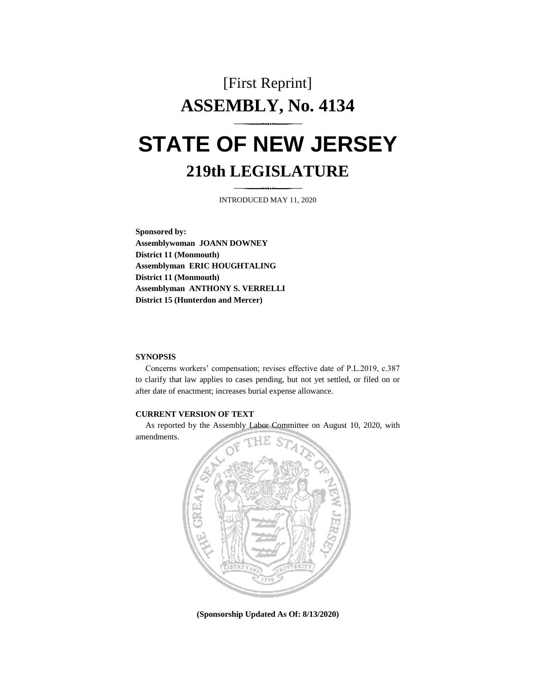# [First Reprint] **ASSEMBLY, No. 4134 STATE OF NEW JERSEY**

## **219th LEGISLATURE**

INTRODUCED MAY 11, 2020

**Sponsored by: Assemblywoman JOANN DOWNEY District 11 (Monmouth) Assemblyman ERIC HOUGHTALING District 11 (Monmouth) Assemblyman ANTHONY S. VERRELLI District 15 (Hunterdon and Mercer)** 

#### **SYNOPSIS**

Concerns workers' compensation; revises effective date of P.L.2019, c.387 to clarify that law applies to cases pending, but not yet settled, or filed on or after date of enactment; increases burial expense allowance.

#### **CURRENT VERSION OF TEXT**

 As reported by the Assembly Labor Committee on August 10, 2020, with amendments.



**(Sponsorship Updated As Of: 8/13/2020)**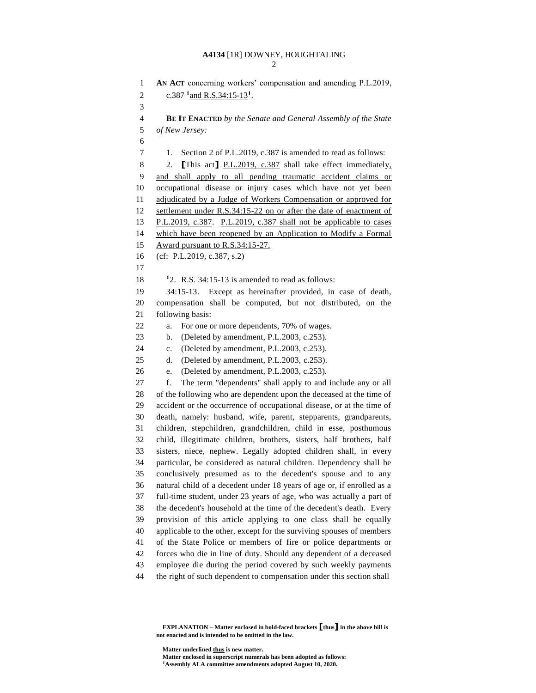### **A4134** [1R] DOWNEY, HOUGHTALING

```
1 AN ACT concerning workers' compensation and amending P.L.2019,
 2 c.387 \frac{1}{2} and R.S.34:15-13<sup>1</sup>.
 3 
 4 BE IT ENACTED by the Senate and General Assembly of the State 
 5 of New Jersey:
 6 
 7 1. Section 2 of P.L.2019, c.387 is amended to read as follows: 
 8 2. [This act] P.L.2019, c.387 shall take effect immediately,
 9 and shall apply to all pending traumatic accident claims or 
10 occupational disease or injury cases which have not yet been 
11 adjudicated by a Judge of Workers Compensation or approved for 
12 settlement under R.S.34:15-22 on or after the date of enactment of 
13 P.L.2019, c.387. P.L.2019, c.387 shall not be applicable to cases 
14 which have been reopened by an Application to Modify a Formal 
15 Award pursuant to R.S.34:15-27. 
16 (cf: P.L.2019, c.387, s.2) 
17 
18 <sup>1</sup>2. R.S. 34:15-13 is amended to read as follows:
19 34:15-13. Except as hereinafter provided, in case of death, 
20 compensation shall be computed, but not distributed, on the 
21 following basis: 
22 a. For one or more dependents, 70% of wages. 
23 b. (Deleted by amendment, P.L.2003, c.253). 
24 c. (Deleted by amendment, P.L.2003, c.253). 
25 d. (Deleted by amendment, P.L.2003, c.253). 
26 e. (Deleted by amendment, P.L.2003, c.253). 
27 f. The term "dependents" shall apply to and include any or all 
28 of the following who are dependent upon the deceased at the time of 
29 accident or the occurrence of occupational disease, or at the time of 
30 death, namely: husband, wife, parent, stepparents, grandparents, 
31 children, stepchildren, grandchildren, child in esse, posthumous 
32 child, illegitimate children, brothers, sisters, half brothers, half 
33 sisters, niece, nephew. Legally adopted children shall, in every 
34 particular, be considered as natural children. Dependency shall be 
35 conclusively presumed as to the decedent's spouse and to any 
36 natural child of a decedent under 18 years of age or, if enrolled as a 
37 full-time student, under 23 years of age, who was actually a part of 
38 the decedent's household at the time of the decedent's death. Every 
39 provision of this article applying to one class shall be equally 
40 applicable to the other, except for the surviving spouses of members 
41 of the State Police or members of fire or police departments or 
42 forces who die in line of duty. Should any dependent of a deceased 
43 employee die during the period covered by such weekly payments 
44 the right of such dependent to compensation under this section shall
```
**EXPLANATION** – Matter enclosed in bold-faced brackets  $\left[\begin{smallmatrix} \text{thus} \end{smallmatrix}\right]$  in the above bill is **not enacted and is intended to be omitted in the law.** 

 **Matter underlined thus is new matter.** 

<sup>1</sup>**Assembly ALA committee amendments adopted August 10, 2020.** 

**Matter enclosed in superscript numerals has been adopted as follows:**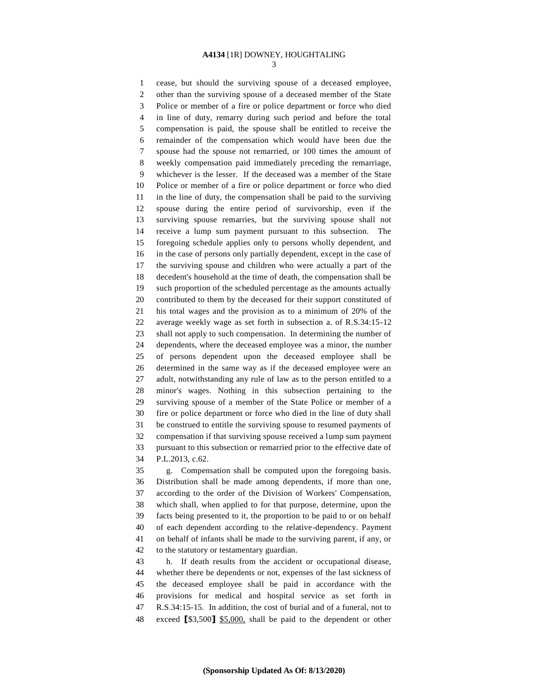#### **A4134** [1R] DOWNEY, HOUGHTALING 3

1 cease, but should the surviving spouse of a deceased employee, 2 other than the surviving spouse of a deceased member of the State 3 Police or member of a fire or police department or force who died 4 in line of duty, remarry during such period and before the total 5 compensation is paid, the spouse shall be entitled to receive the 6 remainder of the compensation which would have been due the 7 spouse had the spouse not remarried, or 100 times the amount of 8 weekly compensation paid immediately preceding the remarriage, 9 whichever is the lesser. If the deceased was a member of the State 10 Police or member of a fire or police department or force who died 11 in the line of duty, the compensation shall be paid to the surviving 12 spouse during the entire period of survivorship, even if the 13 surviving spouse remarries, but the surviving spouse shall not 14 receive a lump sum payment pursuant to this subsection. The 15 foregoing schedule applies only to persons wholly dependent, and 16 in the case of persons only partially dependent, except in the case of 17 the surviving spouse and children who were actually a part of the 18 decedent's household at the time of death, the compensation shall be 19 such proportion of the scheduled percentage as the amounts actually 20 contributed to them by the deceased for their support constituted of 21 his total wages and the provision as to a minimum of 20% of the 22 average weekly wage as set forth in subsection a. of R.S.34:15-12 23 shall not apply to such compensation. In determining the number of 24 dependents, where the deceased employee was a minor, the number 25 of persons dependent upon the deceased employee shall be 26 determined in the same way as if the deceased employee were an 27 adult, notwithstanding any rule of law as to the person entitled to a 28 minor's wages. Nothing in this subsection pertaining to the 29 surviving spouse of a member of the State Police or member of a 30 fire or police department or force who died in the line of duty shall 31 be construed to entitle the surviving spouse to resumed payments of 32 compensation if that surviving spouse received a lump sum payment 33 pursuant to this subsection or remarried prior to the effective date of 34 P.L.2013, c.62. 35 g. Compensation shall be computed upon the foregoing basis. 36 Distribution shall be made among dependents, if more than one, 37 according to the order of the Division of Workers' Compensation, 38 which shall, when applied to for that purpose, determine, upon the 39 facts being presented to it, the proportion to be paid to or on behalf 40 of each dependent according to the relative-dependency. Payment 41 on behalf of infants shall be made to the surviving parent, if any, or 42 to the statutory or testamentary guardian. 43 h. If death results from the accident or occupational disease, 44 whether there be dependents or not, expenses of the last sickness of 45 the deceased employee shall be paid in accordance with the 46 provisions for medical and hospital service as set forth in

47 R.S.34:15-15. In addition, the cost of burial and of a funeral, not to

48 exceed [\$3,500] \$5,000, shall be paid to the dependent or other